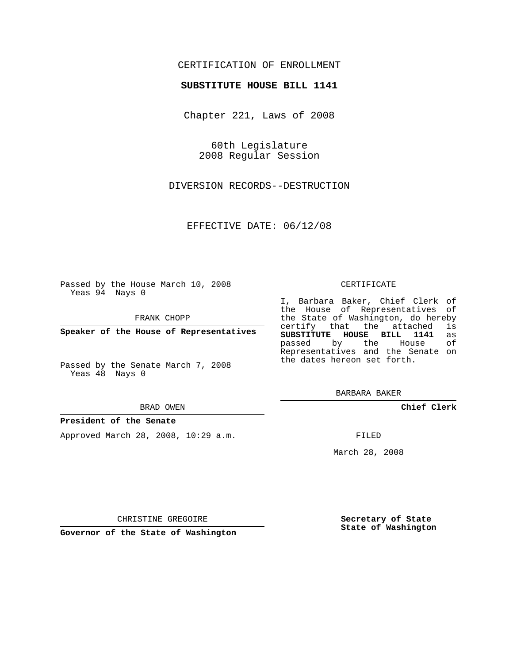# CERTIFICATION OF ENROLLMENT

## **SUBSTITUTE HOUSE BILL 1141**

Chapter 221, Laws of 2008

60th Legislature 2008 Regular Session

DIVERSION RECORDS--DESTRUCTION

EFFECTIVE DATE: 06/12/08

Passed by the House March 10, 2008 Yeas 94 Nays 0

FRANK CHOPP

**Speaker of the House of Representatives**

Passed by the Senate March 7, 2008 Yeas 48 Nays 0

#### BRAD OWEN

### **President of the Senate**

Approved March 28, 2008, 10:29 a.m.

#### CERTIFICATE

I, Barbara Baker, Chief Clerk of the House of Representatives of the State of Washington, do hereby<br>certify that the attached is certify that the attached **SUBSTITUTE HOUSE BILL 1141** as passed by the House Representatives and the Senate on the dates hereon set forth.

BARBARA BAKER

**Chief Clerk**

FILED

March 28, 2008

**Secretary of State State of Washington**

CHRISTINE GREGOIRE

**Governor of the State of Washington**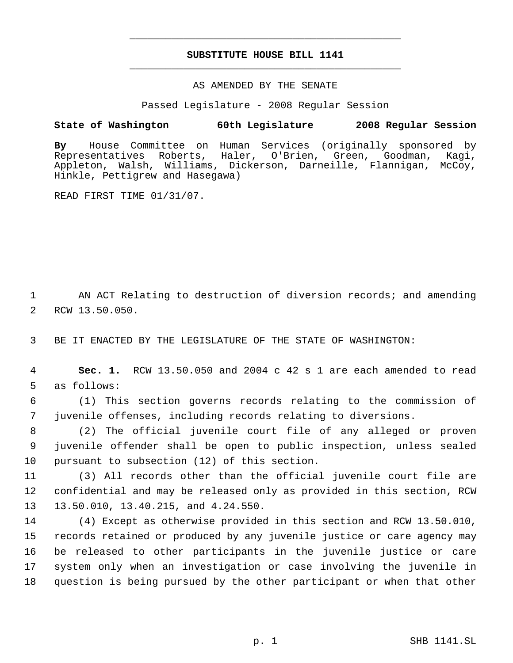# **SUBSTITUTE HOUSE BILL 1141** \_\_\_\_\_\_\_\_\_\_\_\_\_\_\_\_\_\_\_\_\_\_\_\_\_\_\_\_\_\_\_\_\_\_\_\_\_\_\_\_\_\_\_\_\_

\_\_\_\_\_\_\_\_\_\_\_\_\_\_\_\_\_\_\_\_\_\_\_\_\_\_\_\_\_\_\_\_\_\_\_\_\_\_\_\_\_\_\_\_\_

## AS AMENDED BY THE SENATE

Passed Legislature - 2008 Regular Session

## **State of Washington 60th Legislature 2008 Regular Session**

**By** House Committee on Human Services (originally sponsored by Roberts, Haler, O'Brien, Green, Goodman, Kagi, Appleton, Walsh, Williams, Dickerson, Darneille, Flannigan, McCoy, Hinkle, Pettigrew and Hasegawa)

READ FIRST TIME 01/31/07.

 1 AN ACT Relating to destruction of diversion records; and amending 2 RCW 13.50.050.

3 BE IT ENACTED BY THE LEGISLATURE OF THE STATE OF WASHINGTON:

 4 **Sec. 1.** RCW 13.50.050 and 2004 c 42 s 1 are each amended to read 5 as follows:

 6 (1) This section governs records relating to the commission of 7 juvenile offenses, including records relating to diversions.

 8 (2) The official juvenile court file of any alleged or proven 9 juvenile offender shall be open to public inspection, unless sealed 10 pursuant to subsection (12) of this section.

11 (3) All records other than the official juvenile court file are 12 confidential and may be released only as provided in this section, RCW 13 13.50.010, 13.40.215, and 4.24.550.

 (4) Except as otherwise provided in this section and RCW 13.50.010, records retained or produced by any juvenile justice or care agency may be released to other participants in the juvenile justice or care system only when an investigation or case involving the juvenile in question is being pursued by the other participant or when that other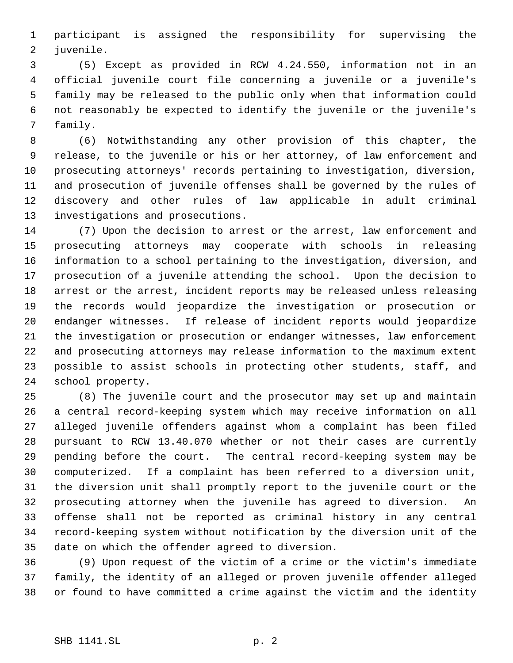participant is assigned the responsibility for supervising the juvenile.

 (5) Except as provided in RCW 4.24.550, information not in an official juvenile court file concerning a juvenile or a juvenile's family may be released to the public only when that information could not reasonably be expected to identify the juvenile or the juvenile's family.

 (6) Notwithstanding any other provision of this chapter, the release, to the juvenile or his or her attorney, of law enforcement and prosecuting attorneys' records pertaining to investigation, diversion, and prosecution of juvenile offenses shall be governed by the rules of discovery and other rules of law applicable in adult criminal investigations and prosecutions.

 (7) Upon the decision to arrest or the arrest, law enforcement and prosecuting attorneys may cooperate with schools in releasing information to a school pertaining to the investigation, diversion, and prosecution of a juvenile attending the school. Upon the decision to arrest or the arrest, incident reports may be released unless releasing the records would jeopardize the investigation or prosecution or endanger witnesses. If release of incident reports would jeopardize the investigation or prosecution or endanger witnesses, law enforcement and prosecuting attorneys may release information to the maximum extent possible to assist schools in protecting other students, staff, and school property.

 (8) The juvenile court and the prosecutor may set up and maintain a central record-keeping system which may receive information on all alleged juvenile offenders against whom a complaint has been filed pursuant to RCW 13.40.070 whether or not their cases are currently pending before the court. The central record-keeping system may be computerized. If a complaint has been referred to a diversion unit, the diversion unit shall promptly report to the juvenile court or the prosecuting attorney when the juvenile has agreed to diversion. An offense shall not be reported as criminal history in any central record-keeping system without notification by the diversion unit of the date on which the offender agreed to diversion.

 (9) Upon request of the victim of a crime or the victim's immediate family, the identity of an alleged or proven juvenile offender alleged or found to have committed a crime against the victim and the identity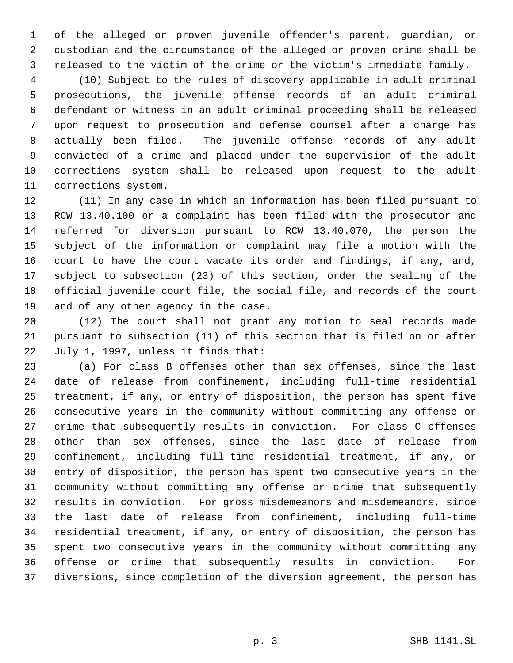of the alleged or proven juvenile offender's parent, guardian, or custodian and the circumstance of the alleged or proven crime shall be released to the victim of the crime or the victim's immediate family.

 (10) Subject to the rules of discovery applicable in adult criminal prosecutions, the juvenile offense records of an adult criminal defendant or witness in an adult criminal proceeding shall be released upon request to prosecution and defense counsel after a charge has actually been filed. The juvenile offense records of any adult convicted of a crime and placed under the supervision of the adult corrections system shall be released upon request to the adult corrections system.

 (11) In any case in which an information has been filed pursuant to RCW 13.40.100 or a complaint has been filed with the prosecutor and referred for diversion pursuant to RCW 13.40.070, the person the subject of the information or complaint may file a motion with the court to have the court vacate its order and findings, if any, and, subject to subsection (23) of this section, order the sealing of the official juvenile court file, the social file, and records of the court and of any other agency in the case.

 (12) The court shall not grant any motion to seal records made pursuant to subsection (11) of this section that is filed on or after July 1, 1997, unless it finds that:

 (a) For class B offenses other than sex offenses, since the last date of release from confinement, including full-time residential treatment, if any, or entry of disposition, the person has spent five consecutive years in the community without committing any offense or crime that subsequently results in conviction. For class C offenses other than sex offenses, since the last date of release from confinement, including full-time residential treatment, if any, or entry of disposition, the person has spent two consecutive years in the community without committing any offense or crime that subsequently results in conviction. For gross misdemeanors and misdemeanors, since the last date of release from confinement, including full-time residential treatment, if any, or entry of disposition, the person has spent two consecutive years in the community without committing any offense or crime that subsequently results in conviction. For diversions, since completion of the diversion agreement, the person has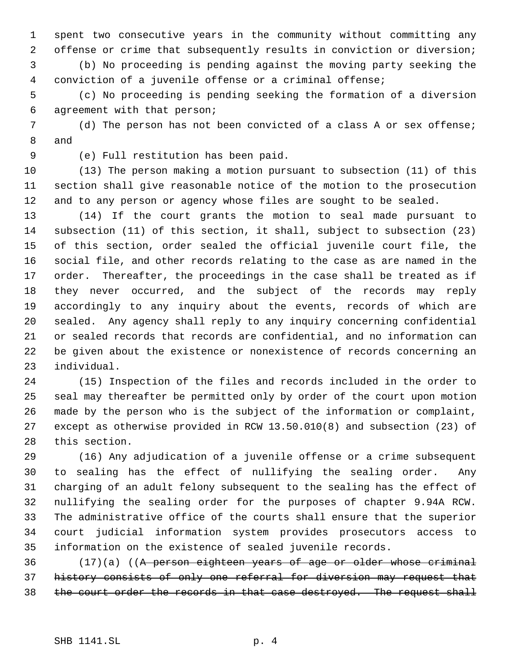spent two consecutive years in the community without committing any offense or crime that subsequently results in conviction or diversion;

 (b) No proceeding is pending against the moving party seeking the conviction of a juvenile offense or a criminal offense;

 (c) No proceeding is pending seeking the formation of a diversion agreement with that person;

 (d) The person has not been convicted of a class A or sex offense; and

(e) Full restitution has been paid.

 (13) The person making a motion pursuant to subsection (11) of this section shall give reasonable notice of the motion to the prosecution and to any person or agency whose files are sought to be sealed.

 (14) If the court grants the motion to seal made pursuant to subsection (11) of this section, it shall, subject to subsection (23) of this section, order sealed the official juvenile court file, the social file, and other records relating to the case as are named in the order. Thereafter, the proceedings in the case shall be treated as if they never occurred, and the subject of the records may reply accordingly to any inquiry about the events, records of which are sealed. Any agency shall reply to any inquiry concerning confidential or sealed records that records are confidential, and no information can be given about the existence or nonexistence of records concerning an individual.

 (15) Inspection of the files and records included in the order to seal may thereafter be permitted only by order of the court upon motion made by the person who is the subject of the information or complaint, except as otherwise provided in RCW 13.50.010(8) and subsection (23) of this section.

 (16) Any adjudication of a juvenile offense or a crime subsequent to sealing has the effect of nullifying the sealing order. Any charging of an adult felony subsequent to the sealing has the effect of nullifying the sealing order for the purposes of chapter 9.94A RCW. The administrative office of the courts shall ensure that the superior court judicial information system provides prosecutors access to information on the existence of sealed juvenile records.

36 (17)(a) ((A person eighteen years of age or older whose criminal history consists of only one referral for diversion may request that 38 the court order the records in that case destroyed. The request shall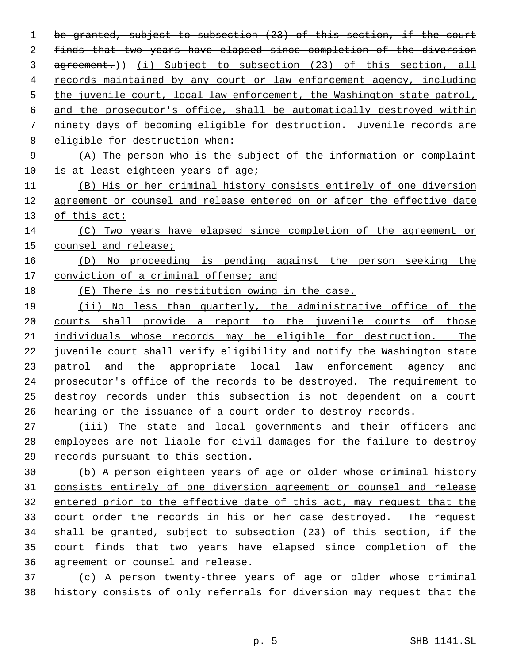be granted, subject to subsection (23) of this section, if the court finds that two years have elapsed since completion of the diversion 3 agreement.)) (i) Subject to subsection (23) of this section, all records maintained by any court or law enforcement agency, including the juvenile court, local law enforcement, the Washington state patrol, and the prosecutor's office, shall be automatically destroyed within ninety days of becoming eligible for destruction. Juvenile records are eligible for destruction when: (A) The person who is the subject of the information or complaint is at least eighteen years of age; (B) His or her criminal history consists entirely of one diversion agreement or counsel and release entered on or after the effective date of this act; (C) Two years have elapsed since completion of the agreement or counsel and release; (D) No proceeding is pending against the person seeking the conviction of a criminal offense; and (E) There is no restitution owing in the case. (ii) No less than quarterly, the administrative office of the courts shall provide a report to the juvenile courts of those individuals whose records may be eligible for destruction. The juvenile court shall verify eligibility and notify the Washington state 23 patrol and the appropriate local law enforcement agency and prosecutor's office of the records to be destroyed. The requirement to destroy records under this subsection is not dependent on a court hearing or the issuance of a court order to destroy records. (iii) The state and local governments and their officers and employees are not liable for civil damages for the failure to destroy records pursuant to this section. (b) A person eighteen years of age or older whose criminal history consists entirely of one diversion agreement or counsel and release entered prior to the effective date of this act, may request that the court order the records in his or her case destroyed. The request shall be granted, subject to subsection (23) of this section, if the court finds that two years have elapsed since completion of the agreement or counsel and release. (c) A person twenty-three years of age or older whose criminal history consists of only referrals for diversion may request that the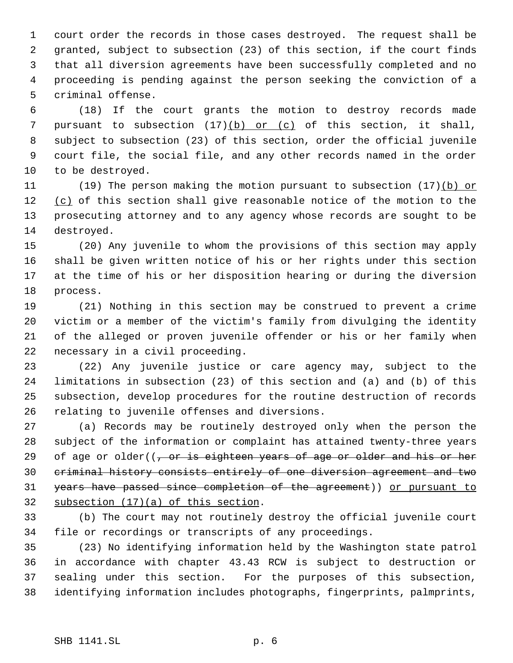court order the records in those cases destroyed. The request shall be granted, subject to subsection (23) of this section, if the court finds that all diversion agreements have been successfully completed and no proceeding is pending against the person seeking the conviction of a criminal offense.

 (18) If the court grants the motion to destroy records made 7 pursuant to subsection  $(17)(b)$  or  $(c)$  of this section, it shall, subject to subsection (23) of this section, order the official juvenile court file, the social file, and any other records named in the order to be destroyed.

11 (19) The person making the motion pursuant to subsection (17)(b) or 12 (c) of this section shall give reasonable notice of the motion to the prosecuting attorney and to any agency whose records are sought to be destroyed.

 (20) Any juvenile to whom the provisions of this section may apply shall be given written notice of his or her rights under this section at the time of his or her disposition hearing or during the diversion process.

 (21) Nothing in this section may be construed to prevent a crime victim or a member of the victim's family from divulging the identity of the alleged or proven juvenile offender or his or her family when necessary in a civil proceeding.

 (22) Any juvenile justice or care agency may, subject to the limitations in subsection (23) of this section and (a) and (b) of this subsection, develop procedures for the routine destruction of records relating to juvenile offenses and diversions.

 (a) Records may be routinely destroyed only when the person the subject of the information or complaint has attained twenty-three years 29 of age or older( $\sqrt{7}$  or is eighteen years of age or older and his or her criminal history consists entirely of one diversion agreement and two years have passed since completion of the agreement)) or pursuant to subsection (17)(a) of this section.

 (b) The court may not routinely destroy the official juvenile court file or recordings or transcripts of any proceedings.

 (23) No identifying information held by the Washington state patrol in accordance with chapter 43.43 RCW is subject to destruction or sealing under this section. For the purposes of this subsection, identifying information includes photographs, fingerprints, palmprints,